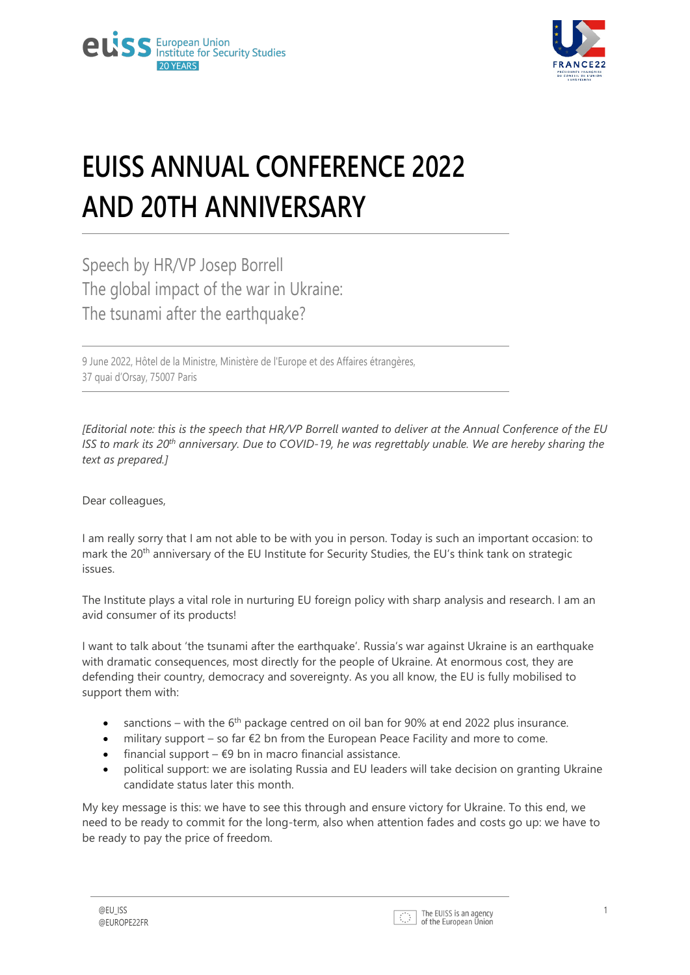

## **EUISS ANNUAL CONFERENCE 2022 AND 20TH ANNIVERSARY**

Speech by HR/VP Josep Borrell The global impact of the war in Ukraine: The tsunami after the earthquake?

9 June 2022, Hôtel de la Ministre, Ministère de l'Europe et des Affaires étrangères, 37 quai d'Orsay, 75007 Paris

*[Editorial note: this is the speech that HR/VP Borrell wanted to deliver at the Annual Conference of the EU ISS to mark its 20th anniversary. Due to COVID-19, he was regrettably unable. We are hereby sharing the text as prepared.]*

Dear colleagues,

I am really sorry that I am not able to be with you in person. Today is such an important occasion: to mark the 20<sup>th</sup> anniversary of the EU Institute for Security Studies, the EU's think tank on strategic issues.

The Institute plays a vital role in nurturing EU foreign policy with sharp analysis and research. I am an avid consumer of its products!

I want to talk about 'the tsunami after the earthquake'. Russia's war against Ukraine is an earthquake with dramatic consequences, most directly for the people of Ukraine. At enormous cost, they are defending their country, democracy and sovereignty. As you all know, the EU is fully mobilised to support them with:

- sanctions with the  $6<sup>th</sup>$  package centred on oil ban for 90% at end 2022 plus insurance.
- military support so far  $€2$  bn from the European Peace Facility and more to come.
- financial support  $\epsilon$ 9 bn in macro financial assistance.
- political support: we are isolating Russia and EU leaders will take decision on granting Ukraine candidate status later this month.

My key message is this: we have to see this through and ensure victory for Ukraine. To this end, we need to be ready to commit for the long-term, also when attention fades and costs go up: we have to be ready to pay the price of freedom.

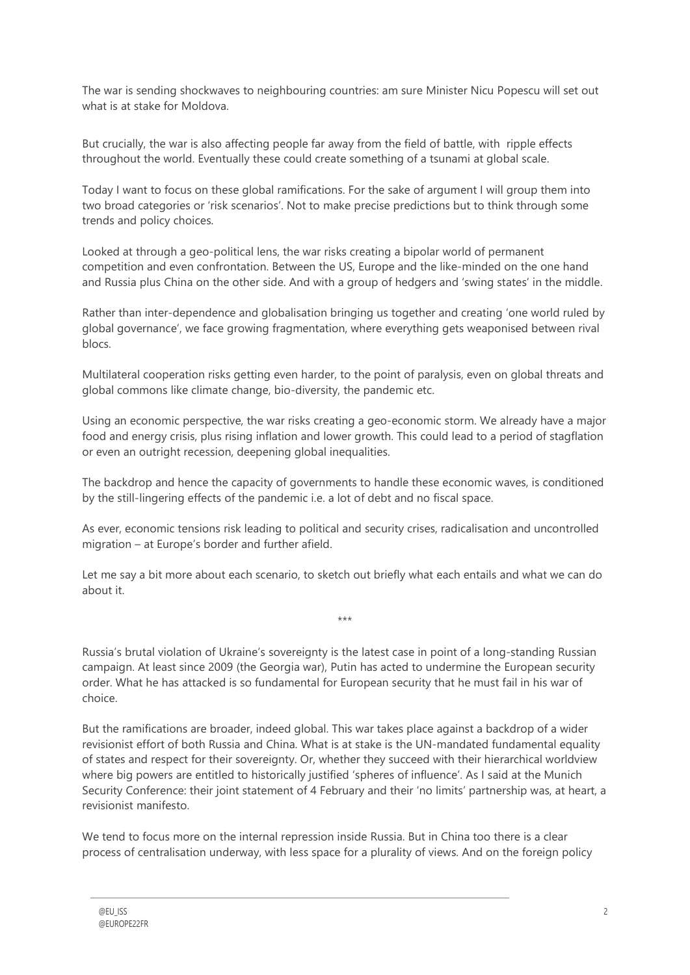The war is sending shockwaves to neighbouring countries: am sure Minister Nicu Popescu will set out what is at stake for Moldova.

But crucially, the war is also affecting people far away from the field of battle, with ripple effects throughout the world. Eventually these could create something of a tsunami at global scale.

Today I want to focus on these global ramifications. For the sake of argument I will group them into two broad categories or 'risk scenarios'. Not to make precise predictions but to think through some trends and policy choices.

Looked at through a geo-political lens, the war risks creating a bipolar world of permanent competition and even confrontation. Between the US, Europe and the like-minded on the one hand and Russia plus China on the other side. And with a group of hedgers and 'swing states' in the middle.

Rather than inter-dependence and globalisation bringing us together and creating 'one world ruled by global governance', we face growing fragmentation, where everything gets weaponised between rival blocs.

Multilateral cooperation risks getting even harder, to the point of paralysis, even on global threats and global commons like climate change, bio-diversity, the pandemic etc.

Using an economic perspective, the war risks creating a geo-economic storm. We already have a major food and energy crisis, plus rising inflation and lower growth. This could lead to a period of stagflation or even an outright recession, deepening global inequalities.

The backdrop and hence the capacity of governments to handle these economic waves, is conditioned by the still-lingering effects of the pandemic i.e. a lot of debt and no fiscal space.

As ever, economic tensions risk leading to political and security crises, radicalisation and uncontrolled migration – at Europe's border and further afield.

Let me say a bit more about each scenario, to sketch out briefly what each entails and what we can do about it.

\*\*\*

Russia's brutal violation of Ukraine's sovereignty is the latest case in point of a long-standing Russian campaign. At least since 2009 (the Georgia war), Putin has acted to undermine the European security order. What he has attacked is so fundamental for European security that he must fail in his war of choice.

But the ramifications are broader, indeed global. This war takes place against a backdrop of a wider revisionist effort of both Russia and China. What is at stake is the UN-mandated fundamental equality of states and respect for their sovereignty. Or, whether they succeed with their hierarchical worldview where big powers are entitled to historically justified 'spheres of influence'. As I said at the Munich Security Conference: their joint statement of 4 February and their 'no limits' partnership was, at heart, a revisionist manifesto.

We tend to focus more on the internal repression inside Russia. But in China too there is a clear process of centralisation underway, with less space for a plurality of views. And on the foreign policy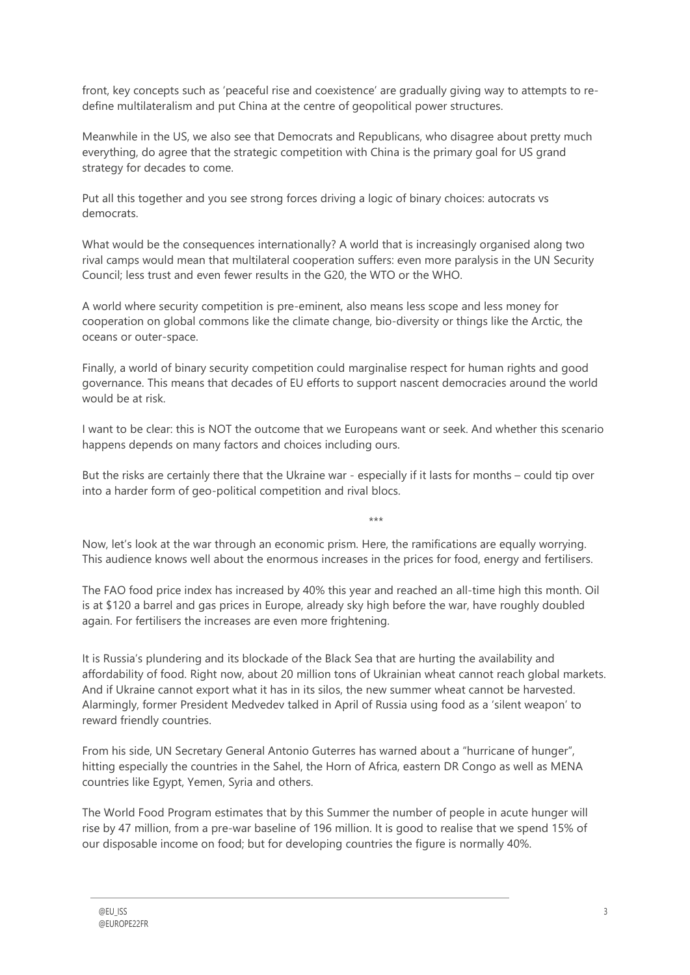front, key concepts such as 'peaceful rise and coexistence' are gradually giving way to attempts to redefine multilateralism and put China at the centre of geopolitical power structures.

Meanwhile in the US, we also see that Democrats and Republicans, who disagree about pretty much everything, do agree that the strategic competition with China is the primary goal for US grand strategy for decades to come.

Put all this together and you see strong forces driving a logic of binary choices: autocrats vs democrats.

What would be the consequences internationally? A world that is increasingly organised along two rival camps would mean that multilateral cooperation suffers: even more paralysis in the UN Security Council; less trust and even fewer results in the G20, the WTO or the WHO.

A world where security competition is pre-eminent, also means less scope and less money for cooperation on global commons like the climate change, bio-diversity or things like the Arctic, the oceans or outer-space.

Finally, a world of binary security competition could marginalise respect for human rights and good governance. This means that decades of EU efforts to support nascent democracies around the world would be at risk.

I want to be clear: this is NOT the outcome that we Europeans want or seek. And whether this scenario happens depends on many factors and choices including ours.

But the risks are certainly there that the Ukraine war - especially if it lasts for months – could tip over into a harder form of geo-political competition and rival blocs.

Now, let's look at the war through an economic prism. Here, the ramifications are equally worrying. This audience knows well about the enormous increases in the prices for food, energy and fertilisers.

\*\*\*

The FAO food price index has increased by 40% this year and reached an all-time high this month. Oil is at \$120 a barrel and gas prices in Europe, already sky high before the war, have roughly doubled again. For fertilisers the increases are even more frightening.

It is Russia's plundering and its blockade of the Black Sea that are hurting the availability and affordability of food. Right now, about 20 million tons of Ukrainian wheat cannot reach global markets. And if Ukraine cannot export what it has in its silos, the new summer wheat cannot be harvested. Alarmingly, former President Medvedev talked in April of Russia using food as a 'silent weapon' to reward friendly countries.

From his side, UN Secretary General Antonio Guterres has warned about a "hurricane of hunger", hitting especially the countries in the Sahel, the Horn of Africa, eastern DR Congo as well as MENA countries like Egypt, Yemen, Syria and others.

The World Food Program estimates that by this Summer the number of people in acute hunger will rise by 47 million, from a pre-war baseline of 196 million. It is good to realise that we spend 15% of our disposable income on food; but for developing countries the figure is normally 40%.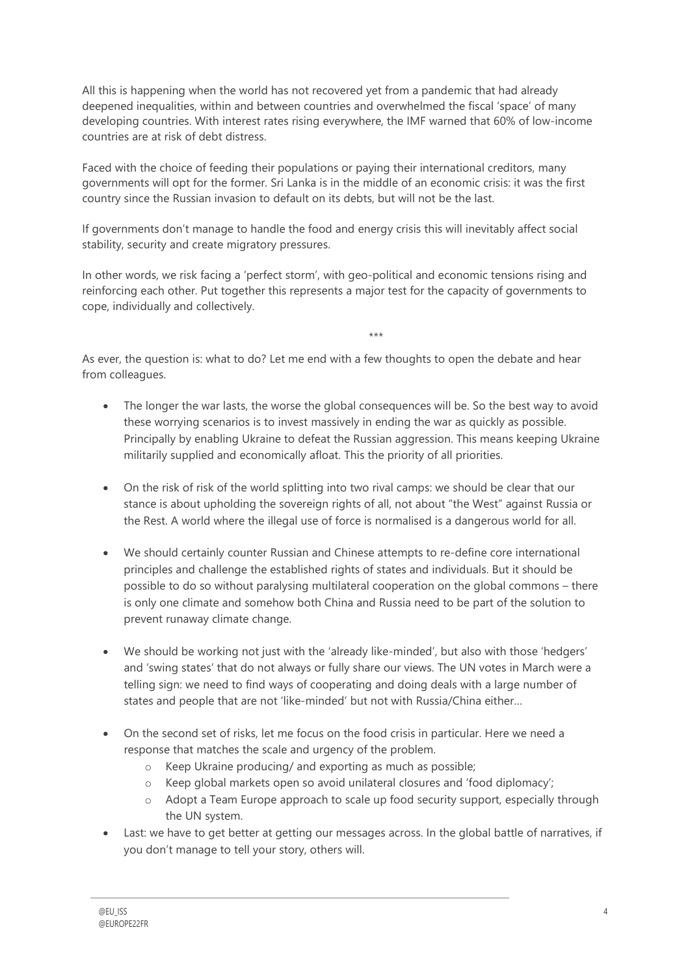All this is happening when the world has not recovered yet from a pandemic that had already deepened inequalities, within and between countries and overwhelmed the fiscal 'space' of many developing countries. With interest rates rising everywhere, the IMF warned that 60% of low-income countries are at risk of debt distress.

Faced with the choice of feeding their populations or paying their international creditors, many governments will opt for the former. Sri Lanka is in the middle of an economic crisis: it was the first country since the Russian invasion to default on its debts, but will not be the last.

If governments don't manage to handle the food and energy crisis this will inevitably affect social stability, security and create migratory pressures.

In other words, we risk facing a 'perfect storm', with geo-political and economic tensions rising and reinforcing each other. Put together this represents a major test for the capacity of governments to cope, individually and collectively.

As ever, the question is: what to do? Let me end with a few thoughts to open the debate and hear from colleagues.

• The longer the war lasts, the worse the global consequences will be. So the best way to avoid these worrying scenarios is to invest massively in ending the war as quickly as possible. Principally by enabling Ukraine to defeat the Russian aggression. This means keeping Ukraine militarily supplied and economically afloat. This the priority of all priorities.

\*\*\*

- On the risk of risk of the world splitting into two rival camps: we should be clear that our stance is about upholding the sovereign rights of all, not about "the West" against Russia or the Rest. A world where the illegal use of force is normalised is a dangerous world for all.
- We should certainly counter Russian and Chinese attempts to re-define core international principles and challenge the established rights of states and individuals. But it should be possible to do so without paralysing multilateral cooperation on the global commons – there is only one climate and somehow both China and Russia need to be part of the solution to prevent runaway climate change.
- We should be working not just with the 'already like-minded', but also with those 'hedgers' and 'swing states' that do not always or fully share our views. The UN votes in March were a telling sign: we need to find ways of cooperating and doing deals with a large number of states and people that are not 'like-minded' but not with Russia/China either…
- On the second set of risks, let me focus on the food crisis in particular. Here we need a response that matches the scale and urgency of the problem.
	- o Keep Ukraine producing/ and exporting as much as possible;
	- o Keep global markets open so avoid unilateral closures and 'food diplomacy';
	- o Adopt a Team Europe approach to scale up food security support, especially through the UN system.
- Last: we have to get better at getting our messages across. In the global battle of narratives, if you don't manage to tell your story, others will.